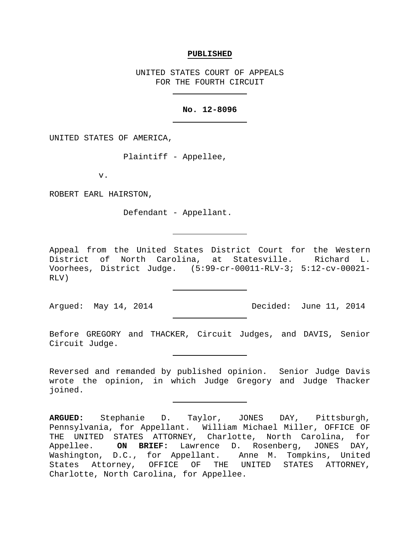## **PUBLISHED**

UNITED STATES COURT OF APPEALS FOR THE FOURTH CIRCUIT

# **No. 12-8096**

UNITED STATES OF AMERICA,

Plaintiff - Appellee,

v.

ROBERT EARL HAIRSTON,

Defendant - Appellant.

Appeal from the United States District Court for the Western District of North Carolina, at Statesville. Richard L. Voorhees, District Judge. (5:99-cr-00011-RLV-3; 5:12-cv-00021- RLV)

Argued: May 14, 2014 Decided: June 11, 2014

Before GREGORY and THACKER, Circuit Judges, and DAVIS, Senior Circuit Judge.

Reversed and remanded by published opinion. Senior Judge Davis wrote the opinion, in which Judge Gregory and Judge Thacker joined.

**ARGUED:** Stephanie D. Taylor, JONES DAY, Pittsburgh, Pennsylvania, for Appellant. William Michael Miller, OFFICE OF THE UNITED STATES ATTORNEY, Charlotte, North Carolina, for<br>Appellee. ON BRIEF: Lawrence D. Rosenberg, JONES DAY, ON BRIEF: Lawrence D. Rosenberg, JONES DAY, Washington, D.C., for Appellant. Anne M. Tompkins, United States Attorney, OFFICE OF THE UNITED STATES ATTORNEY, Charlotte, North Carolina, for Appellee.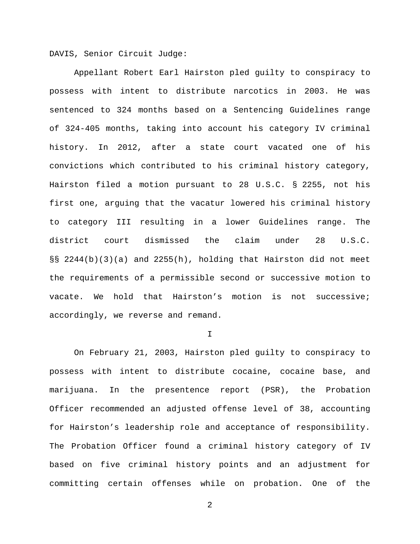DAVIS, Senior Circuit Judge:

Appellant Robert Earl Hairston pled guilty to conspiracy to possess with intent to distribute narcotics in 2003. He was sentenced to 324 months based on a Sentencing Guidelines range of 324-405 months, taking into account his category IV criminal history. In 2012, after a state court vacated one of his convictions which contributed to his criminal history category, Hairston filed a motion pursuant to 28 U.S.C. § 2255, not his first one, arguing that the vacatur lowered his criminal history to category III resulting in a lower Guidelines range. The district court dismissed the claim under 28 U.S.C. §§ 2244(b)(3)(a) and 2255(h), holding that Hairston did not meet the requirements of a permissible second or successive motion to vacate. We hold that Hairston's motion is not successive; accordingly, we reverse and remand.

I

On February 21, 2003, Hairston pled guilty to conspiracy to possess with intent to distribute cocaine, cocaine base, and marijuana. In the presentence report (PSR), the Probation Officer recommended an adjusted offense level of 38, accounting for Hairston's leadership role and acceptance of responsibility. The Probation Officer found a criminal history category of IV based on five criminal history points and an adjustment for committing certain offenses while on probation. One of the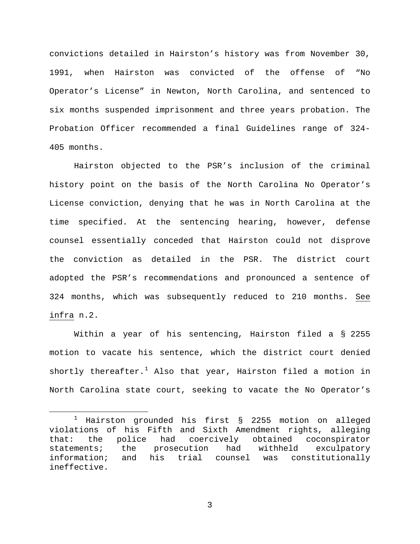convictions detailed in Hairston's history was from November 30, 1991, when Hairston was convicted of the offense of "No Operator's License" in Newton, North Carolina, and sentenced to six months suspended imprisonment and three years probation. The Probation Officer recommended a final Guidelines range of 324- 405 months.

Hairston objected to the PSR's inclusion of the criminal history point on the basis of the North Carolina No Operator's License conviction, denying that he was in North Carolina at the time specified. At the sentencing hearing, however, defense counsel essentially conceded that Hairston could not disprove the conviction as detailed in the PSR. The district court adopted the PSR's recommendations and pronounced a sentence of 324 months, which was subsequently reduced to 210 months. See infra n.2.

Within a year of his sentencing, Hairston filed a § 2255 motion to vacate his sentence, which the district court denied shortly thereafter.<sup>[1](#page-2-0)</sup> Also that year, Hairston filed a motion in North Carolina state court, seeking to vacate the No Operator's

<span id="page-2-0"></span> $1$  Hairston grounded his first § 2255 motion on alleged violations of his Fifth and Sixth Amendment rights, alleging that: the police had coercively obtained coconspirator statements; the prosecution had withheld exculpatory<br>information; and his trial counsel was constitutionally his trial counsel was constitutionally ineffective.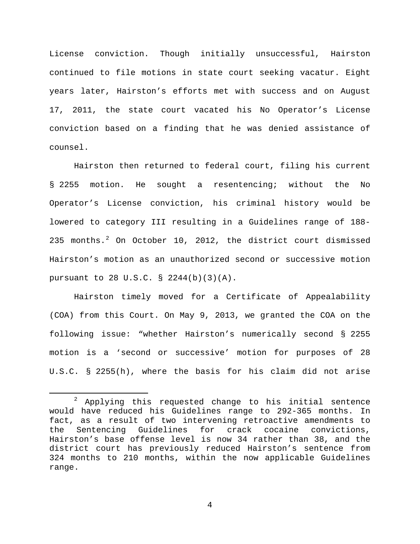License conviction. Though initially unsuccessful, Hairston continued to file motions in state court seeking vacatur. Eight years later, Hairston's efforts met with success and on August 17, 2011, the state court vacated his No Operator's License conviction based on a finding that he was denied assistance of counsel.

Hairston then returned to federal court, filing his current § 2255 motion. He sought a resentencing; without the No Operator's License conviction, his criminal history would be lowered to category III resulting in a Guidelines range of 188- [2](#page-3-0)35 months. $^2$  On October 10, 2012, the district court dismissed Hairston's motion as an unauthorized second or successive motion pursuant to 28 U.S.C. § 2244(b)(3)(A).

Hairston timely moved for a Certificate of Appealability (COA) from this Court. On May 9, 2013, we granted the COA on the following issue: "whether Hairston's numerically second § 2255 motion is a 'second or successive' motion for purposes of 28 U.S.C. § 2255(h), where the basis for his claim did not arise

<span id="page-3-0"></span> $2$  Applying this requested change to his initial sentence would have reduced his Guidelines range to 292-365 months. In fact, as a result of two intervening retroactive amendments to<br>the Sentencing Guidelines for crack cocaine convictions, Guidelines for crack cocaine convictions, Hairston's base offense level is now 34 rather than 38, and the district court has previously reduced Hairston's sentence from 324 months to 210 months, within the now applicable Guidelines range.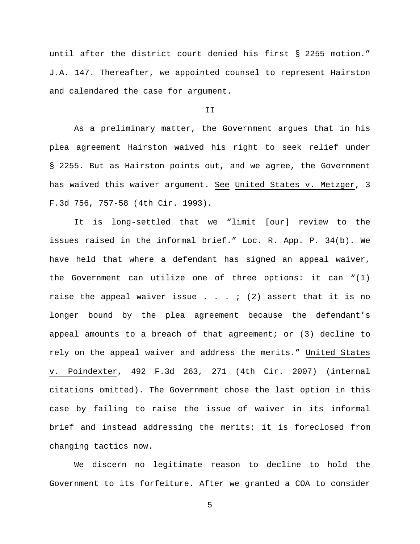until after the district court denied his first § 2255 motion." J.A. 147. Thereafter, we appointed counsel to represent Hairston and calendared the case for argument.

#### II

As a preliminary matter, the Government argues that in his plea agreement Hairston waived his right to seek relief under § 2255. But as Hairston points out, and we agree, the Government has waived this waiver argument. See United States v. Metzger, 3 F.3d 756, 757-58 (4th Cir. 1993).

It is long-settled that we "limit [our] review to the issues raised in the informal brief." Loc. R. App. P. 34(b). We have held that where a defendant has signed an appeal waiver, the Government can utilize one of three options: it can "(1) raise the appeal waiver issue . . . ; (2) assert that it is no longer bound by the plea agreement because the defendant's appeal amounts to a breach of that agreement; or  $(3)$  decline to rely on the appeal waiver and address the merits." United States v. Poindexter, 492 F.3d 263, 271 (4th Cir. 2007) (internal citations omitted). The Government chose the last option in this case by failing to raise the issue of waiver in its informal brief and instead addressing the merits; it is foreclosed from changing tactics now.

We discern no legitimate reason to decline to hold the Government to its forfeiture. After we granted a COA to consider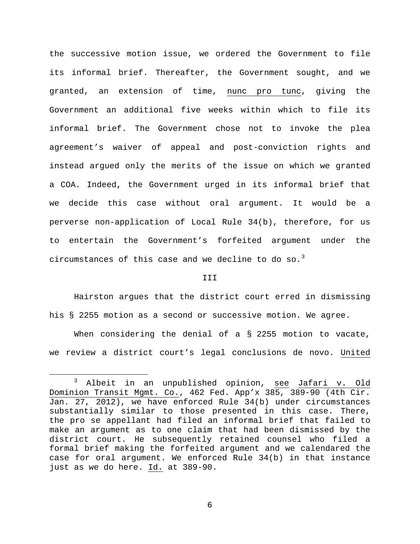the successive motion issue, we ordered the Government to file its informal brief. Thereafter, the Government sought, and we granted, an extension of time, nunc pro tunc, giving the Government an additional five weeks within which to file its informal brief. The Government chose not to invoke the plea agreement's waiver of appeal and post-conviction rights and instead argued only the merits of the issue on which we granted a COA. Indeed, the Government urged in its informal brief that we decide this case without oral argument. It would be a perverse non-application of Local Rule 34(b), therefore, for us to entertain the Government's forfeited argument under the circumstances of this case and we decline to do so. $^3$  $^3$ 

## III

Hairston argues that the district court erred in dismissing his § 2255 motion as a second or successive motion. We agree.

When considering the denial of a  $\S$  2255 motion to vacate, we review a district court's legal conclusions de novo. United

<span id="page-5-0"></span><sup>&</sup>lt;sup>3</sup> Albeit in an unpublished opinion, see Jafari v. Old Dominion Transit Mgmt. Co., 462 Fed. App'x 385, 389-90 (4th Cir. Jan. 27, 2012), we have enforced Rule 34(b) under circumstances substantially similar to those presented in this case. There, the pro se appellant had filed an informal brief that failed to make an argument as to one claim that had been dismissed by the district court. He subsequently retained counsel who filed a formal brief making the forfeited argument and we calendared the case for oral argument. We enforced Rule 34(b) in that instance just as we do here. Id. at 389-90.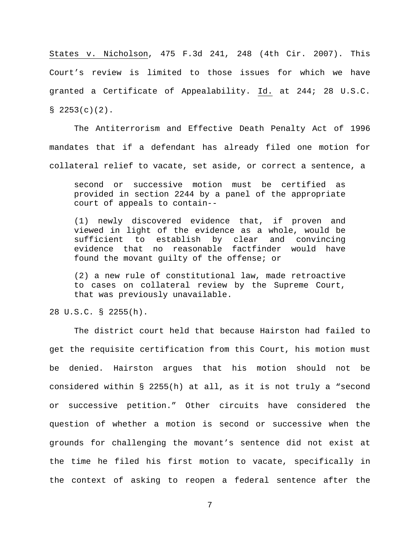States v. Nicholson, 475 F.3d 241, 248 (4th Cir. 2007). This Court's review is limited to those issues for which we have granted a Certificate of Appealability. Id. at 244; 28 U.S.C.  $$2253(c)(2)$ .

The Antiterrorism and Effective Death Penalty Act of 1996 mandates that if a defendant has already filed one motion for collateral relief to vacate, set aside, or correct a sentence, a

second or successive motion must be certified as provided in section 2244 by a panel of the appropriate court of appeals to contain--

(1) newly discovered evidence that, if proven and viewed in light of the evidence as a whole, would be sufficient to establish by clear and convincing evidence that no reasonable factfinder would have found the movant guilty of the offense; or

(2) a new rule of constitutional law, made retroactive to cases on collateral review by the Supreme Court, that was previously unavailable.

28 U.S.C. § 2255(h).

The district court held that because Hairston had failed to get the requisite certification from this Court, his motion must be denied. Hairston argues that his motion should not be considered within § 2255(h) at all, as it is not truly a "second or successive petition." Other circuits have considered the question of whether a motion is second or successive when the grounds for challenging the movant's sentence did not exist at the time he filed his first motion to vacate, specifically in the context of asking to reopen a federal sentence after the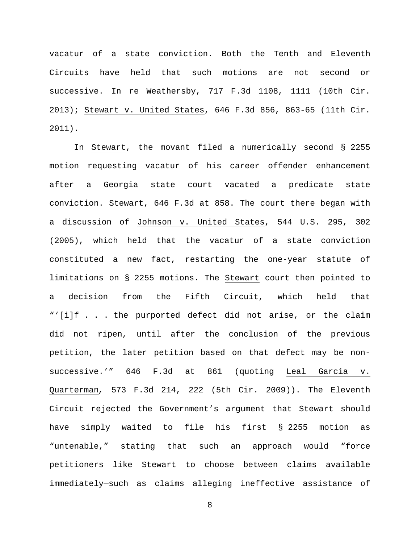vacatur of a state conviction. Both the Tenth and Eleventh Circuits have held that such motions are not second or successive. In re Weathersby, 717 F.3d 1108, 1111 (10th Cir. 2013); Stewart v. United States, 646 F.3d 856, 863-65 (11th Cir. 2011).

In Stewart, the movant filed a numerically second § 2255 motion requesting vacatur of his career offender enhancement after a Georgia state court vacated a predicate state conviction. Stewart, 646 F.3d at 858. The court there began with a discussion of Johnson v. United States, 544 U.S. 295, 302 (2005), which held that the vacatur of a state conviction constituted a new fact, restarting the one-year statute of limitations on § 2255 motions. The Stewart court then pointed to a decision from the Fifth Circuit, which held that "'[i]f . . . the purported defect did not arise, or the claim did not ripen, until after the conclusion of the previous petition, the later petition based on that defect may be nonsuccessive.'" 646 F.3d at 861 (quoting Leal Garcia v. Quarterman*,* 573 F.3d 214, 222 (5th Cir. 2009)). The Eleventh Circuit rejected the Government's argument that Stewart should have simply waited to file his first § 2255 motion as "untenable," stating that such an approach would "force petitioners like Stewart to choose between claims available immediately—such as claims alleging ineffective assistance of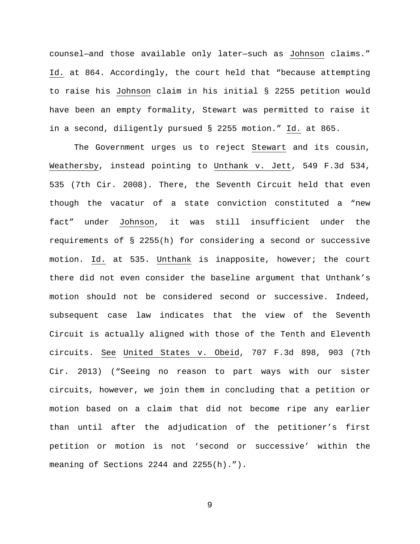counsel—and those available only later—such as Johnson claims." Id. at 864. Accordingly, the court held that "because attempting to raise his Johnson claim in his initial § 2255 petition would have been an empty formality, Stewart was permitted to raise it in a second, diligently pursued § 2255 motion." Id. at 865.

The Government urges us to reject Stewart and its cousin, Weathersby, instead pointing to Unthank v. Jett, 549 F.3d 534, 535 (7th Cir. 2008). There, the Seventh Circuit held that even though the vacatur of a state conviction constituted a "new fact" under Johnson, it was still insufficient under the requirements of § 2255(h) for considering a second or successive motion. Id. at 535. Unthank is inapposite, however; the court there did not even consider the baseline argument that Unthank's motion should not be considered second or successive. Indeed, subsequent case law indicates that the view of the Seventh Circuit is actually aligned with those of the Tenth and Eleventh circuits. See United States v. Obeid, 707 F.3d 898, 903 (7th Cir. 2013) ("Seeing no reason to part ways with our sister circuits, however, we join them in concluding that a petition or motion based on a claim that did not become ripe any earlier than until after the adjudication of the petitioner's first petition or motion is not 'second or successive' within the meaning of Sections 2244 and 2255(h).").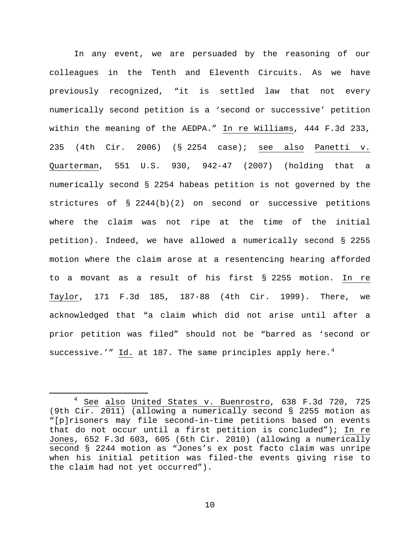In any event, we are persuaded by the reasoning of our colleagues in the Tenth and Eleventh Circuits. As we have previously recognized, "it is settled law that not every numerically second petition is a 'second or successive' petition within the meaning of the AEDPA." In re Williams, 444 F.3d 233, 235 (4th Cir. 2006) (§ 2254 case); see also Panetti v. Quarterman, 551 U.S. 930, 942-47 (2007) (holding that a numerically second § 2254 habeas petition is not governed by the strictures of § 2244(b)(2) on second or successive petitions where the claim was not ripe at the time of the initial petition). Indeed, we have allowed a numerically second § 2255 motion where the claim arose at a resentencing hearing afforded to a movant as a result of his first § 2255 motion. In re Taylor, 171 F.3d 185, 187-88 (4th Cir. 1999). There, we acknowledged that "a claim which did not arise until after a prior petition was filed" should not be "barred as 'second or successive.'" Id. at 187. The same principles apply here. $4$ 

<span id="page-9-0"></span><sup>&</sup>lt;sup>4</sup> See also United States v. Buenrostro, 638 F.3d 720, 725 (9th Cir. 2011) (allowing a numerically second § 2255 motion as "[p]risoners may file second-in-time petitions based on events that do not occur until a first petition is concluded"); In re Jones, 652 F.3d 603, 605 (6th Cir. 2010) (allowing a numerically second § 2244 motion as "Jones's ex post facto claim was unripe when his initial petition was filed-the events giving rise to the claim had not yet occurred").